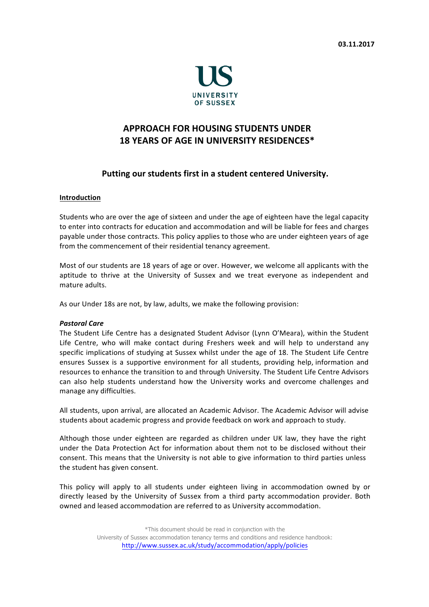

# **APPROACH FOR HOUSING STUDENTS UNDER 18 YEARS OF AGE IN UNIVERSITY RESIDENCES\***

## Putting our students first in a student centered University.

## Introduction

Students who are over the age of sixteen and under the age of eighteen have the legal capacity to enter into contracts for education and accommodation and will be liable for fees and charges payable under those contracts. This policy applies to those who are under eighteen years of age from the commencement of their residential tenancy agreement.

Most of our students are 18 years of age or over. However, we welcome all applicants with the aptitude to thrive at the University of Sussex and we treat everyone as independent and mature adults.

As our Under 18s are not, by law, adults, we make the following provision:

#### **Pastoral Care**

The Student Life Centre has a designated Student Advisor (Lynn O'Meara), within the Student Life Centre, who will make contact during Freshers week and will help to understand any specific implications of studying at Sussex whilst under the age of 18. The Student Life Centre ensures Sussex is a supportive environment for all students, providing help, information and resources to enhance the transition to and through University. The Student Life Centre Advisors can also help students understand how the University works and overcome challenges and manage any difficulties.

All students, upon arrival, are allocated an Academic Advisor. The Academic Advisor will advise students about academic progress and provide feedback on work and approach to study.

Although those under eighteen are regarded as children under UK law, they have the right under the Data Protection Act for information about them not to be disclosed without their consent. This means that the University is not able to give information to third parties unless the student has given consent.

This policy will apply to all students under eighteen living in accommodation owned by or directly leased by the University of Sussex from a third party accommodation provider. Both owned and leased accommodation are referred to as University accommodation.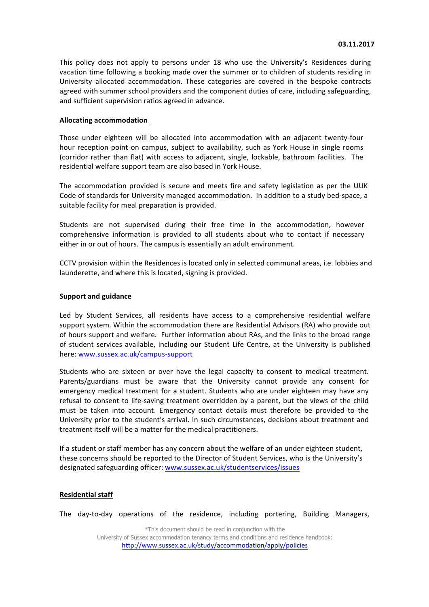This policy does not apply to persons under 18 who use the University's Residences during vacation time following a booking made over the summer or to children of students residing in University allocated accommodation. These categories are covered in the bespoke contracts agreed with summer school providers and the component duties of care, including safeguarding, and sufficient supervision ratios agreed in advance.

#### **Allocating!accommodation!**

Those under eighteen will be allocated into accommodation with an adjacent twenty-four hour reception point on campus, subject to availability, such as York House in single rooms (corridor rather than flat) with access to adjacent, single, lockable, bathroom facilities. The residential welfare support team are also based in York House.

The accommodation provided is secure and meets fire and safety legislation as per the UUK Code of standards for University managed accommodation. In addition to a study bed-space, a suitable facility for meal preparation is provided.

Students are not supervised during their free time in the accommodation, however comprehensive information is provided to all students about who to contact if necessary either in or out of hours. The campus is essentially an adult environment.

CCTV provision within the Residences is located only in selected communal areas, i.e. lobbies and launderette, and where this is located, signing is provided.

## **Support and guidance**

Led by Student Services, all residents have access to a comprehensive residential welfare support system. Within the accommodation there are Residential Advisors (RA) who provide out of hours support and welfare. Further information about RAs, and the links to the broad range of student services available, including our Student Life Centre, at the University is published here: www.sussex.ac.uk/campus-support

Students who are sixteen or over have the legal capacity to consent to medical treatment. Parents/guardians must be aware that the University cannot provide any consent for emergency medical treatment for a student. Students who are under eighteen may have any refusal to consent to life-saving treatment overridden by a parent, but the views of the child must be taken into account. Emergency contact details must therefore be provided to the University prior to the student's arrival. In such circumstances, decisions about treatment and treatment itself will be a matter for the medical practitioners.

If a student or staff member has any concern about the welfare of an under eighteen student, these concerns should be reported to the Director of Student Services, who is the University's designated safeguarding officer: www.sussex.ac.uk/studentservices/issues

#### **Residential staff**

The day-to-day operations of the residence, including portering, Building Managers,

\*This document should be read in conjunction with the University of Sussex accommodation tenancy terms and conditions and residence handbook: http://www.sussex.ac.uk/study/accommodation/apply/policies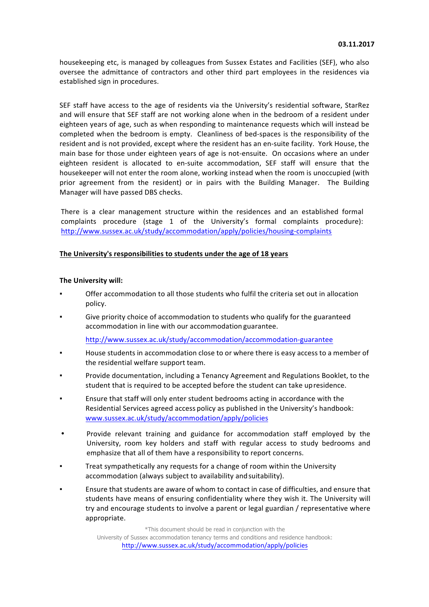housekeeping etc, is managed by colleagues from Sussex Estates and Facilities (SEF), who also oversee the admittance of contractors and other third part employees in the residences via established sign in procedures.

SEF staff have access to the age of residents via the University's residential software, StarRez and will ensure that SEF staff are not working alone when in the bedroom of a resident under eighteen years of age, such as when responding to maintenance requests which will instead be completed when the bedroom is empty. Cleanliness of bed-spaces is the responsibility of the resident and is not provided, except where the resident has an en-suite facility. York House, the main base for those under eighteen years of age is not-ensuite. On occasions where an under eighteen resident is allocated to en-suite accommodation, SEF staff will ensure that the housekeeper will not enter the room alone, working instead when the room is unoccupied (with prior agreement from the resident) or in pairs with the Building Manager. The Building Manager will have passed DBS checks.

There is a clear management structure within the residences and an established formal complaints procedure (stage 1 of the University's formal complaints procedure): http://www.sussex.ac.uk/study/accommodation/apply/policies/housing-complaints

## The University's responsibilities to students under the age of 18 years

## **The University will:**

- Offer accommodation to all those students who fulfil the criteria set out in allocation policy.
- Give priority choice of accommodation to students who qualify for the guaranteed accommodation in line with our accommodation guarantee.

http://www.sussex.ac.uk/study/accommodation/accommodation-guarantee

- House students in accommodation close to or where there is easy access to a member of the residential welfare support team.
- Provide documentation, including a Tenancy Agreement and Regulations Booklet, to the student that is required to be accepted before the student can take upresidence.
- **Ensure that staff will only enter student bedrooms acting in accordance with the** Residential Services agreed access policy as published in the University's handbook: www.sussex.ac.uk/study/accommodation/apply/policies
- Provide relevant training and guidance for accommodation staff employed by the University, room key holders and staff with regular access to study bedrooms and emphasize that all of them have a responsibility to report concerns.
- **Treat sympathetically any requests for a change of room within the University** accommodation (always subject to availability and suitability).
- Ensure that students are aware of whom to contact in case of difficulties, and ensure that students have means of ensuring confidentiality where they wish it. The University will try and encourage students to involve a parent or legal guardian / representative where appropriate.

\*This document should be read in conjunction with the University of Sussex accommodation tenancy terms and conditions and residence handbook: http://www.sussex.ac.uk/study/accommodation/apply/policies